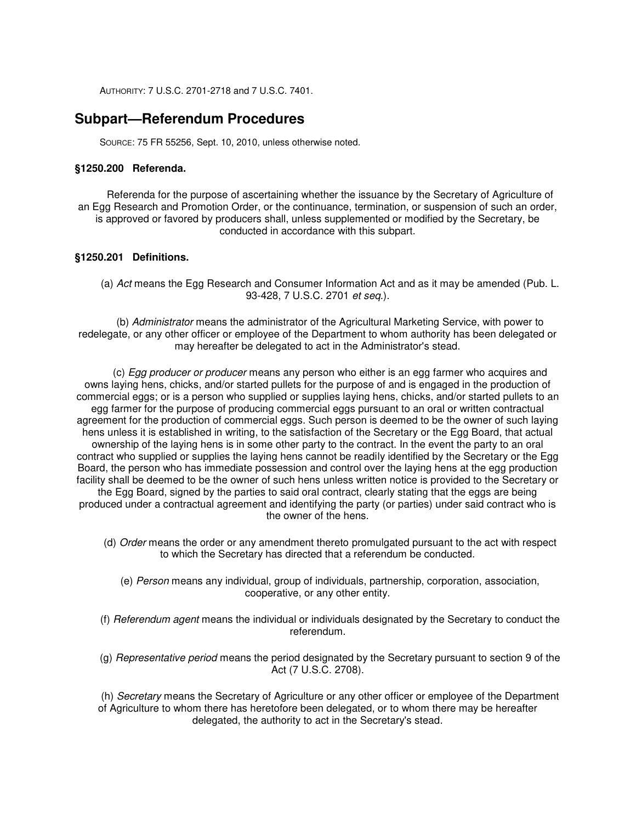AUTHORITY: 7 U.S.C. 2701-2718 and 7 U.S.C. 7401.

# **Subpart—Referendum Procedures**

SOURCE: 75 FR 55256, Sept. 10, 2010, unless otherwise noted.

#### **§1250.200 Referenda.**

Referenda for the purpose of ascertaining whether the issuance by the Secretary of Agriculture of an Egg Research and Promotion Order, or the continuance, termination, or suspension of such an order, is approved or favored by producers shall, unless supplemented or modified by the Secretary, be conducted in accordance with this subpart.

# **§1250.201 Definitions.**

(a) Act means the Egg Research and Consumer Information Act and as it may be amended (Pub. L. 93-428, 7 U.S.C. 2701 et seq.).

(b) Administrator means the administrator of the Agricultural Marketing Service, with power to redelegate, or any other officer or employee of the Department to whom authority has been delegated or may hereafter be delegated to act in the Administrator's stead.

(c) Egg producer or producer means any person who either is an egg farmer who acquires and owns laying hens, chicks, and/or started pullets for the purpose of and is engaged in the production of commercial eggs; or is a person who supplied or supplies laying hens, chicks, and/or started pullets to an egg farmer for the purpose of producing commercial eggs pursuant to an oral or written contractual agreement for the production of commercial eggs. Such person is deemed to be the owner of such laying hens unless it is established in writing, to the satisfaction of the Secretary or the Egg Board, that actual ownership of the laying hens is in some other party to the contract. In the event the party to an oral contract who supplied or supplies the laying hens cannot be readily identified by the Secretary or the Egg Board, the person who has immediate possession and control over the laying hens at the egg production facility shall be deemed to be the owner of such hens unless written notice is provided to the Secretary or the Egg Board, signed by the parties to said oral contract, clearly stating that the eggs are being produced under a contractual agreement and identifying the party (or parties) under said contract who is the owner of the hens.

- (d) Order means the order or any amendment thereto promulgated pursuant to the act with respect to which the Secretary has directed that a referendum be conducted.
	- (e) Person means any individual, group of individuals, partnership, corporation, association, cooperative, or any other entity.
- (f) Referendum agent means the individual or individuals designated by the Secretary to conduct the referendum.
- (g) Representative period means the period designated by the Secretary pursuant to section 9 of the Act (7 U.S.C. 2708).

(h) Secretary means the Secretary of Agriculture or any other officer or employee of the Department of Agriculture to whom there has heretofore been delegated, or to whom there may be hereafter delegated, the authority to act in the Secretary's stead.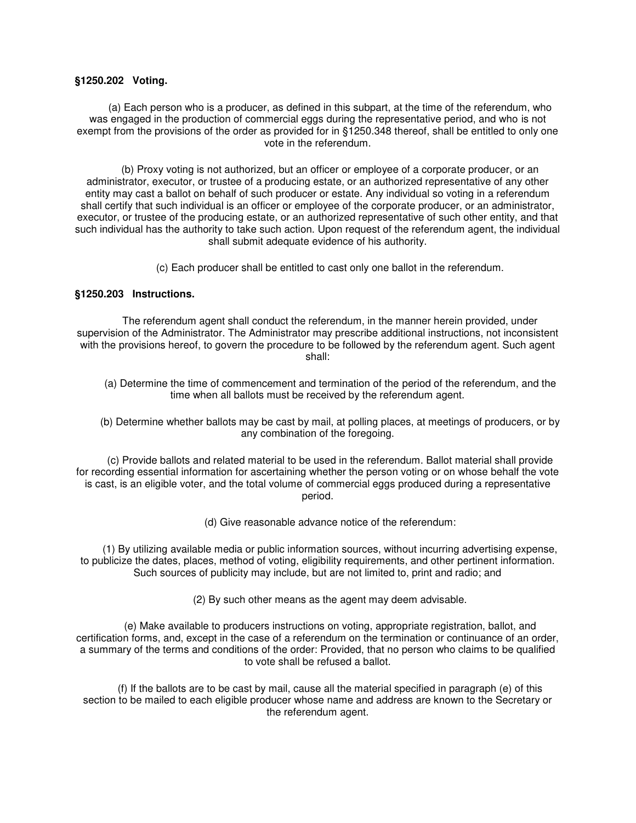#### **§1250.202 Voting.**

(a) Each person who is a producer, as defined in this subpart, at the time of the referendum, who was engaged in the production of commercial eggs during the representative period, and who is not exempt from the provisions of the order as provided for in §1250.348 thereof, shall be entitled to only one vote in the referendum.

(b) Proxy voting is not authorized, but an officer or employee of a corporate producer, or an administrator, executor, or trustee of a producing estate, or an authorized representative of any other entity may cast a ballot on behalf of such producer or estate. Any individual so voting in a referendum shall certify that such individual is an officer or employee of the corporate producer, or an administrator, executor, or trustee of the producing estate, or an authorized representative of such other entity, and that such individual has the authority to take such action. Upon request of the referendum agent, the individual shall submit adequate evidence of his authority.

(c) Each producer shall be entitled to cast only one ballot in the referendum.

### **§1250.203 Instructions.**

The referendum agent shall conduct the referendum, in the manner herein provided, under supervision of the Administrator. The Administrator may prescribe additional instructions, not inconsistent with the provisions hereof, to govern the procedure to be followed by the referendum agent. Such agent shall:

- (a) Determine the time of commencement and termination of the period of the referendum, and the time when all ballots must be received by the referendum agent.
- (b) Determine whether ballots may be cast by mail, at polling places, at meetings of producers, or by any combination of the foregoing.

(c) Provide ballots and related material to be used in the referendum. Ballot material shall provide for recording essential information for ascertaining whether the person voting or on whose behalf the vote is cast, is an eligible voter, and the total volume of commercial eggs produced during a representative period.

(d) Give reasonable advance notice of the referendum:

(1) By utilizing available media or public information sources, without incurring advertising expense, to publicize the dates, places, method of voting, eligibility requirements, and other pertinent information. Such sources of publicity may include, but are not limited to, print and radio; and

(2) By such other means as the agent may deem advisable.

(e) Make available to producers instructions on voting, appropriate registration, ballot, and certification forms, and, except in the case of a referendum on the termination or continuance of an order, a summary of the terms and conditions of the order: Provided, that no person who claims to be qualified to vote shall be refused a ballot.

(f) If the ballots are to be cast by mail, cause all the material specified in paragraph (e) of this section to be mailed to each eligible producer whose name and address are known to the Secretary or the referendum agent.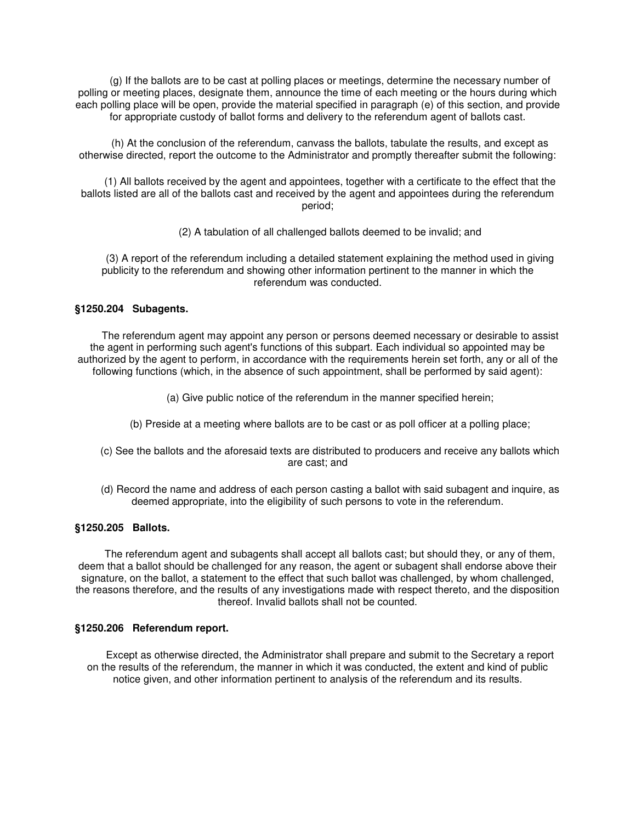(g) If the ballots are to be cast at polling places or meetings, determine the necessary number of polling or meeting places, designate them, announce the time of each meeting or the hours during which each polling place will be open, provide the material specified in paragraph (e) of this section, and provide for appropriate custody of ballot forms and delivery to the referendum agent of ballots cast.

(h) At the conclusion of the referendum, canvass the ballots, tabulate the results, and except as otherwise directed, report the outcome to the Administrator and promptly thereafter submit the following:

(1) All ballots received by the agent and appointees, together with a certificate to the effect that the ballots listed are all of the ballots cast and received by the agent and appointees during the referendum period;

(2) A tabulation of all challenged ballots deemed to be invalid; and

(3) A report of the referendum including a detailed statement explaining the method used in giving publicity to the referendum and showing other information pertinent to the manner in which the referendum was conducted.

# **§1250.204 Subagents.**

The referendum agent may appoint any person or persons deemed necessary or desirable to assist the agent in performing such agent's functions of this subpart. Each individual so appointed may be authorized by the agent to perform, in accordance with the requirements herein set forth, any or all of the following functions (which, in the absence of such appointment, shall be performed by said agent):

- (a) Give public notice of the referendum in the manner specified herein;
- (b) Preside at a meeting where ballots are to be cast or as poll officer at a polling place;
- (c) See the ballots and the aforesaid texts are distributed to producers and receive any ballots which are cast; and
- (d) Record the name and address of each person casting a ballot with said subagent and inquire, as deemed appropriate, into the eligibility of such persons to vote in the referendum.

### **§1250.205 Ballots.**

The referendum agent and subagents shall accept all ballots cast; but should they, or any of them, deem that a ballot should be challenged for any reason, the agent or subagent shall endorse above their signature, on the ballot, a statement to the effect that such ballot was challenged, by whom challenged, the reasons therefore, and the results of any investigations made with respect thereto, and the disposition thereof. Invalid ballots shall not be counted.

### **§1250.206 Referendum report.**

Except as otherwise directed, the Administrator shall prepare and submit to the Secretary a report on the results of the referendum, the manner in which it was conducted, the extent and kind of public notice given, and other information pertinent to analysis of the referendum and its results.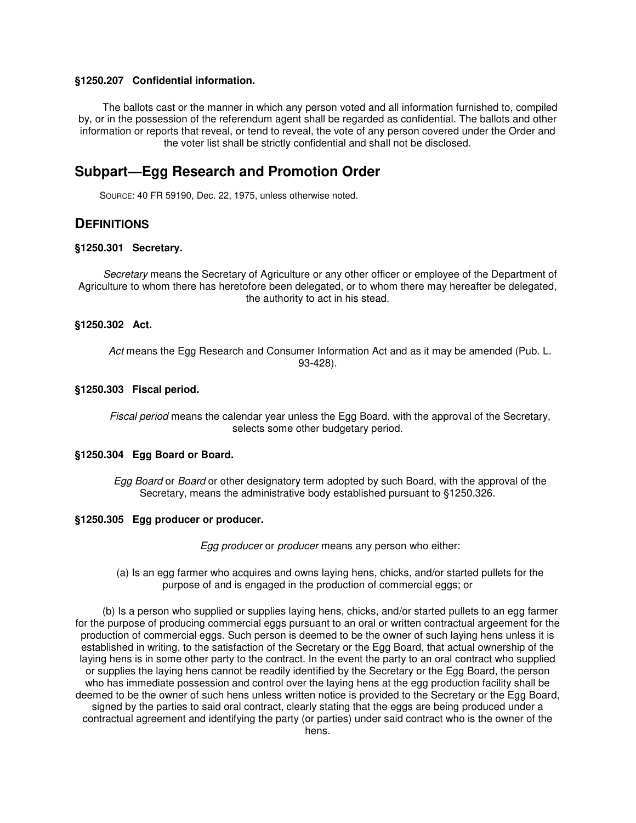#### **§1250.207 Confidential information.**

The ballots cast or the manner in which any person voted and all information furnished to, compiled by, or in the possession of the referendum agent shall be regarded as confidential. The ballots and other information or reports that reveal, or tend to reveal, the vote of any person covered under the Order and the voter list shall be strictly confidential and shall not be disclosed.

# **Subpart—Egg Research and Promotion Order**

SOURCE: 40 FR 59190, Dec. 22, 1975, unless otherwise noted.

# **DEFINITIONS**

#### **§1250.301 Secretary.**

Secretary means the Secretary of Agriculture or any other officer or employee of the Department of Agriculture to whom there has heretofore been delegated, or to whom there may hereafter be delegated, the authority to act in his stead.

#### **§1250.302 Act.**

Act means the Egg Research and Consumer Information Act and as it may be amended (Pub. L. 93-428).

#### **§1250.303 Fiscal period.**

Fiscal period means the calendar year unless the Egg Board, with the approval of the Secretary, selects some other budgetary period.

### **§1250.304 Egg Board or Board.**

Egg Board or Board or other designatory term adopted by such Board, with the approval of the Secretary, means the administrative body established pursuant to §1250.326.

# **§1250.305 Egg producer or producer.**

Egg producer or producer means any person who either:

#### (a) Is an egg farmer who acquires and owns laying hens, chicks, and/or started pullets for the purpose of and is engaged in the production of commercial eggs; or

(b) Is a person who supplied or supplies laying hens, chicks, and/or started pullets to an egg farmer for the purpose of producing commercial eggs pursuant to an oral or written contractual argeement for the production of commercial eggs. Such person is deemed to be the owner of such laying hens unless it is established in writing, to the satisfaction of the Secretary or the Egg Board, that actual ownership of the laying hens is in some other party to the contract. In the event the party to an oral contract who supplied or supplies the laying hens cannot be readily identified by the Secretary or the Egg Board, the person who has immediate possession and control over the laying hens at the egg production facility shall be deemed to be the owner of such hens unless written notice is provided to the Secretary or the Egg Board, signed by the parties to said oral contract, clearly stating that the eggs are being produced under a contractual agreement and identifying the party (or parties) under said contract who is the owner of the hens.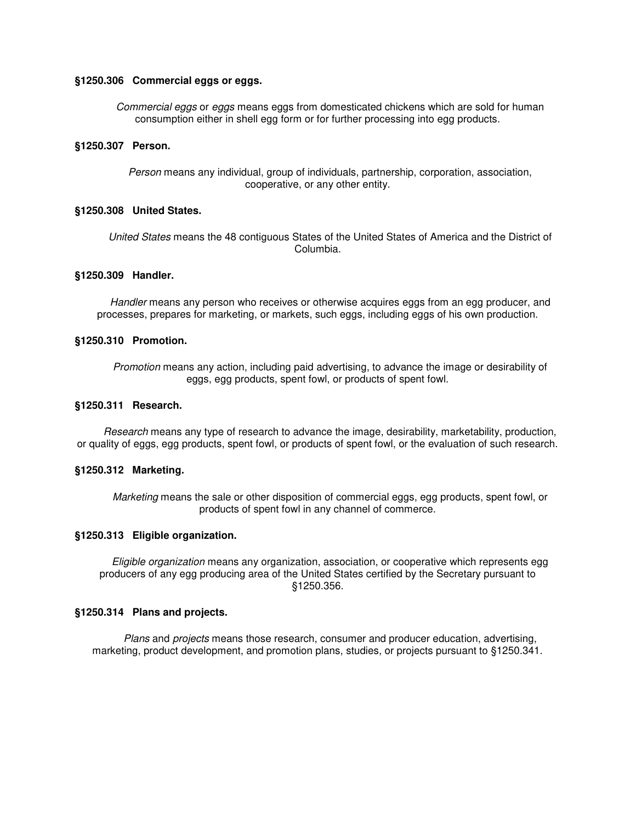#### **§1250.306 Commercial eggs or eggs.**

Commercial eggs or eggs means eggs from domesticated chickens which are sold for human consumption either in shell egg form or for further processing into egg products.

#### **§1250.307 Person.**

Person means any individual, group of individuals, partnership, corporation, association, cooperative, or any other entity.

#### **§1250.308 United States.**

United States means the 48 contiguous States of the United States of America and the District of Columbia.

# **§1250.309 Handler.**

Handler means any person who receives or otherwise acquires eggs from an egg producer, and processes, prepares for marketing, or markets, such eggs, including eggs of his own production.

#### **§1250.310 Promotion.**

Promotion means any action, including paid advertising, to advance the image or desirability of eggs, egg products, spent fowl, or products of spent fowl.

#### **§1250.311 Research.**

Research means any type of research to advance the image, desirability, marketability, production, or quality of eggs, egg products, spent fowl, or products of spent fowl, or the evaluation of such research.

#### **§1250.312 Marketing.**

Marketing means the sale or other disposition of commercial eggs, egg products, spent fowl, or products of spent fowl in any channel of commerce.

#### **§1250.313 Eligible organization.**

Eligible organization means any organization, association, or cooperative which represents egg producers of any egg producing area of the United States certified by the Secretary pursuant to §1250.356.

### **§1250.314 Plans and projects.**

Plans and projects means those research, consumer and producer education, advertising, marketing, product development, and promotion plans, studies, or projects pursuant to §1250.341.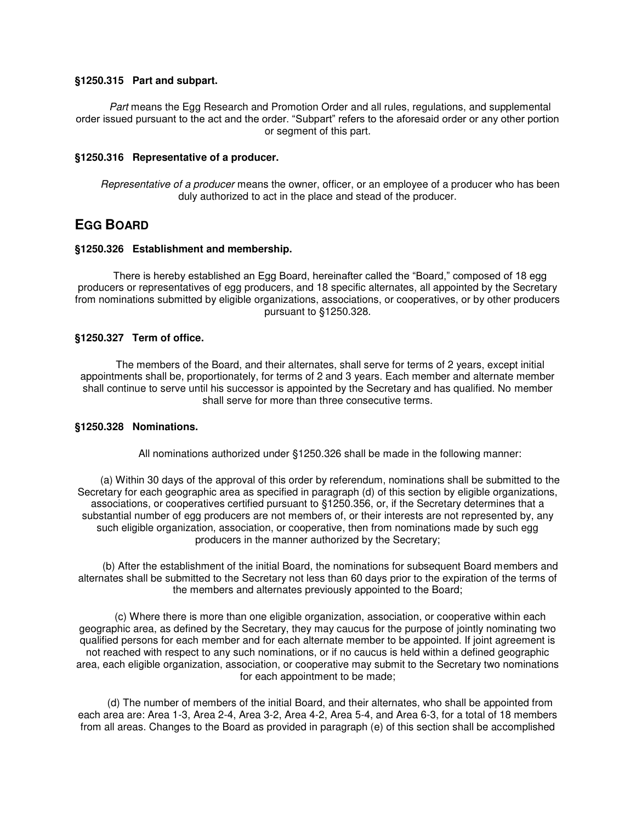#### **§1250.315 Part and subpart.**

Part means the Egg Research and Promotion Order and all rules, regulations, and supplemental order issued pursuant to the act and the order. "Subpart" refers to the aforesaid order or any other portion or segment of this part.

### **§1250.316 Representative of a producer.**

Representative of a producer means the owner, officer, or an employee of a producer who has been duly authorized to act in the place and stead of the producer.

# **EGG BOARD**

#### **§1250.326 Establishment and membership.**

There is hereby established an Egg Board, hereinafter called the "Board," composed of 18 egg producers or representatives of egg producers, and 18 specific alternates, all appointed by the Secretary from nominations submitted by eligible organizations, associations, or cooperatives, or by other producers pursuant to §1250.328.

### **§1250.327 Term of office.**

The members of the Board, and their alternates, shall serve for terms of 2 years, except initial appointments shall be, proportionately, for terms of 2 and 3 years. Each member and alternate member shall continue to serve until his successor is appointed by the Secretary and has qualified. No member shall serve for more than three consecutive terms.

### **§1250.328 Nominations.**

All nominations authorized under §1250.326 shall be made in the following manner:

(a) Within 30 days of the approval of this order by referendum, nominations shall be submitted to the Secretary for each geographic area as specified in paragraph (d) of this section by eligible organizations, associations, or cooperatives certified pursuant to §1250.356, or, if the Secretary determines that a substantial number of egg producers are not members of, or their interests are not represented by, any such eligible organization, association, or cooperative, then from nominations made by such egg producers in the manner authorized by the Secretary;

(b) After the establishment of the initial Board, the nominations for subsequent Board members and alternates shall be submitted to the Secretary not less than 60 days prior to the expiration of the terms of the members and alternates previously appointed to the Board;

(c) Where there is more than one eligible organization, association, or cooperative within each geographic area, as defined by the Secretary, they may caucus for the purpose of jointly nominating two qualified persons for each member and for each alternate member to be appointed. If joint agreement is not reached with respect to any such nominations, or if no caucus is held within a defined geographic area, each eligible organization, association, or cooperative may submit to the Secretary two nominations for each appointment to be made;

(d) The number of members of the initial Board, and their alternates, who shall be appointed from each area are: Area 1-3, Area 2-4, Area 3-2, Area 4-2, Area 5-4, and Area 6-3, for a total of 18 members from all areas. Changes to the Board as provided in paragraph (e) of this section shall be accomplished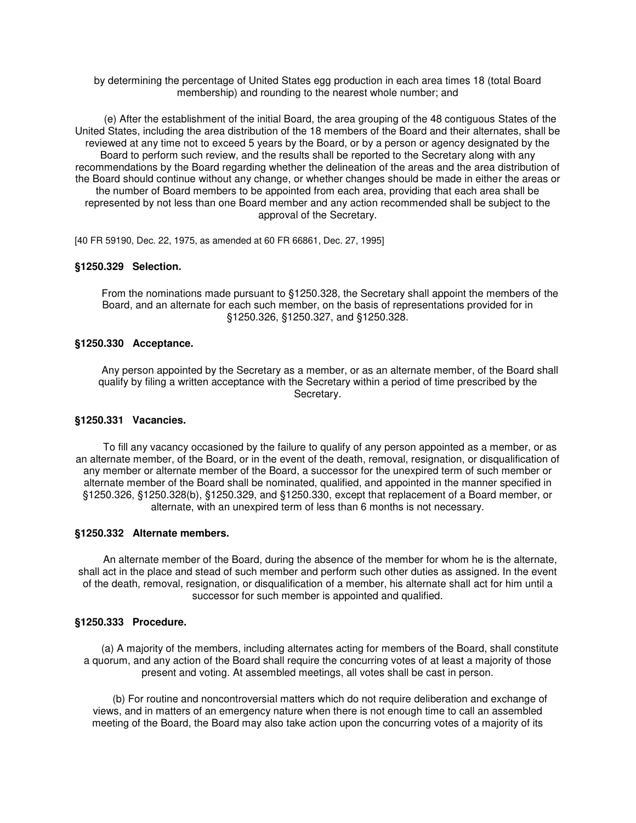by determining the percentage of United States egg production in each area times 18 (total Board membership) and rounding to the nearest whole number; and

(e) After the establishment of the initial Board, the area grouping of the 48 contiguous States of the United States, including the area distribution of the 18 members of the Board and their alternates, shall be reviewed at any time not to exceed 5 years by the Board, or by a person or agency designated by the Board to perform such review, and the results shall be reported to the Secretary along with any recommendations by the Board regarding whether the delineation of the areas and the area distribution of the Board should continue without any change, or whether changes should be made in either the areas or the number of Board members to be appointed from each area, providing that each area shall be represented by not less than one Board member and any action recommended shall be subject to the approval of the Secretary.

[40 FR 59190, Dec. 22, 1975, as amended at 60 FR 66861, Dec. 27, 1995]

#### **§1250.329 Selection.**

From the nominations made pursuant to §1250.328, the Secretary shall appoint the members of the Board, and an alternate for each such member, on the basis of representations provided for in §1250.326, §1250.327, and §1250.328.

#### **§1250.330 Acceptance.**

Any person appointed by the Secretary as a member, or as an alternate member, of the Board shall qualify by filing a written acceptance with the Secretary within a period of time prescribed by the Secretary.

#### **§1250.331 Vacancies.**

To fill any vacancy occasioned by the failure to qualify of any person appointed as a member, or as an alternate member, of the Board, or in the event of the death, removal, resignation, or disqualification of any member or alternate member of the Board, a successor for the unexpired term of such member or alternate member of the Board shall be nominated, qualified, and appointed in the manner specified in §1250.326, §1250.328(b), §1250.329, and §1250.330, except that replacement of a Board member, or alternate, with an unexpired term of less than 6 months is not necessary.

#### **§1250.332 Alternate members.**

An alternate member of the Board, during the absence of the member for whom he is the alternate, shall act in the place and stead of such member and perform such other duties as assigned. In the event of the death, removal, resignation, or disqualification of a member, his alternate shall act for him until a successor for such member is appointed and qualified.

#### **§1250.333 Procedure.**

(a) A majority of the members, including alternates acting for members of the Board, shall constitute a quorum, and any action of the Board shall require the concurring votes of at least a majority of those present and voting. At assembled meetings, all votes shall be cast in person.

(b) For routine and noncontroversial matters which do not require deliberation and exchange of views, and in matters of an emergency nature when there is not enough time to call an assembled meeting of the Board, the Board may also take action upon the concurring votes of a majority of its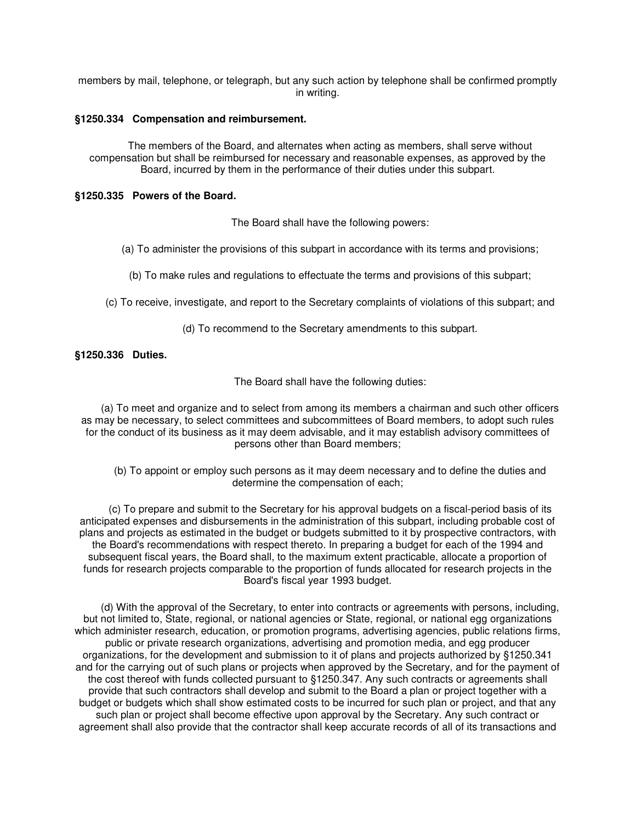members by mail, telephone, or telegraph, but any such action by telephone shall be confirmed promptly in writing.

### **§1250.334 Compensation and reimbursement.**

The members of the Board, and alternates when acting as members, shall serve without compensation but shall be reimbursed for necessary and reasonable expenses, as approved by the Board, incurred by them in the performance of their duties under this subpart.

# **§1250.335 Powers of the Board.**

The Board shall have the following powers:

(a) To administer the provisions of this subpart in accordance with its terms and provisions;

(b) To make rules and regulations to effectuate the terms and provisions of this subpart;

(c) To receive, investigate, and report to the Secretary complaints of violations of this subpart; and

(d) To recommend to the Secretary amendments to this subpart.

# **§1250.336 Duties.**

The Board shall have the following duties:

(a) To meet and organize and to select from among its members a chairman and such other officers as may be necessary, to select committees and subcommittees of Board members, to adopt such rules for the conduct of its business as it may deem advisable, and it may establish advisory committees of persons other than Board members;

(b) To appoint or employ such persons as it may deem necessary and to define the duties and determine the compensation of each;

(c) To prepare and submit to the Secretary for his approval budgets on a fiscal-period basis of its anticipated expenses and disbursements in the administration of this subpart, including probable cost of plans and projects as estimated in the budget or budgets submitted to it by prospective contractors, with the Board's recommendations with respect thereto. In preparing a budget for each of the 1994 and subsequent fiscal years, the Board shall, to the maximum extent practicable, allocate a proportion of funds for research projects comparable to the proportion of funds allocated for research projects in the Board's fiscal year 1993 budget.

(d) With the approval of the Secretary, to enter into contracts or agreements with persons, including, but not limited to, State, regional, or national agencies or State, regional, or national egg organizations which administer research, education, or promotion programs, advertising agencies, public relations firms, public or private research organizations, advertising and promotion media, and egg producer organizations, for the development and submission to it of plans and projects authorized by §1250.341 and for the carrying out of such plans or projects when approved by the Secretary, and for the payment of the cost thereof with funds collected pursuant to §1250.347. Any such contracts or agreements shall provide that such contractors shall develop and submit to the Board a plan or project together with a budget or budgets which shall show estimated costs to be incurred for such plan or project, and that any such plan or project shall become effective upon approval by the Secretary. Any such contract or agreement shall also provide that the contractor shall keep accurate records of all of its transactions and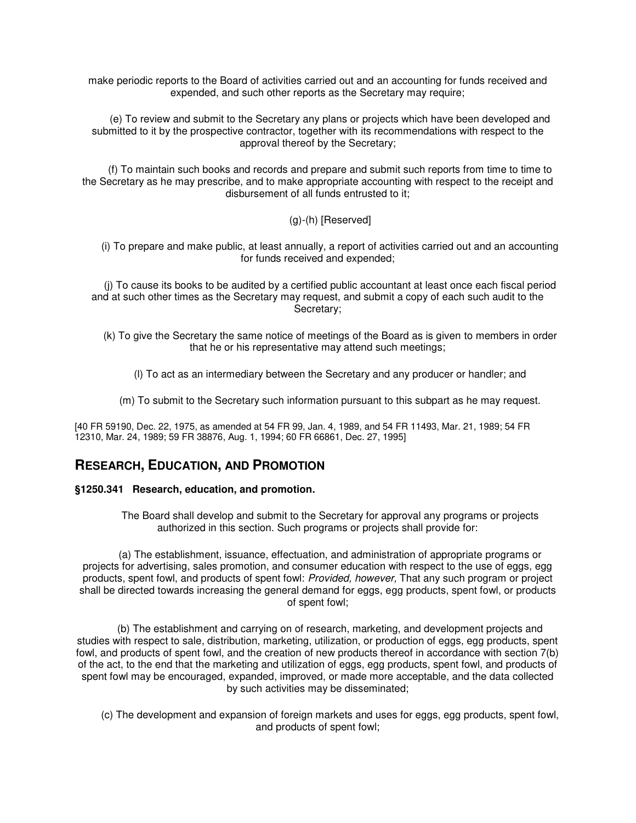make periodic reports to the Board of activities carried out and an accounting for funds received and expended, and such other reports as the Secretary may require;

(e) To review and submit to the Secretary any plans or projects which have been developed and submitted to it by the prospective contractor, together with its recommendations with respect to the approval thereof by the Secretary;

(f) To maintain such books and records and prepare and submit such reports from time to time to the Secretary as he may prescribe, and to make appropriate accounting with respect to the receipt and disbursement of all funds entrusted to it;

# (g)-(h) [Reserved]

(i) To prepare and make public, at least annually, a report of activities carried out and an accounting for funds received and expended;

(j) To cause its books to be audited by a certified public accountant at least once each fiscal period and at such other times as the Secretary may request, and submit a copy of each such audit to the Secretary;

- (k) To give the Secretary the same notice of meetings of the Board as is given to members in order that he or his representative may attend such meetings;
	- (l) To act as an intermediary between the Secretary and any producer or handler; and
	- (m) To submit to the Secretary such information pursuant to this subpart as he may request.

[40 FR 59190, Dec. 22, 1975, as amended at 54 FR 99, Jan. 4, 1989, and 54 FR 11493, Mar. 21, 1989; 54 FR 12310, Mar. 24, 1989; 59 FR 38876, Aug. 1, 1994; 60 FR 66861, Dec. 27, 1995]

# **RESEARCH, EDUCATION, AND PROMOTION**

### **§1250.341 Research, education, and promotion.**

The Board shall develop and submit to the Secretary for approval any programs or projects authorized in this section. Such programs or projects shall provide for:

(a) The establishment, issuance, effectuation, and administration of appropriate programs or projects for advertising, sales promotion, and consumer education with respect to the use of eggs, egg products, spent fowl, and products of spent fowl: Provided, however, That any such program or project shall be directed towards increasing the general demand for eggs, egg products, spent fowl, or products of spent fowl;

(b) The establishment and carrying on of research, marketing, and development projects and studies with respect to sale, distribution, marketing, utilization, or production of eggs, egg products, spent fowl, and products of spent fowl, and the creation of new products thereof in accordance with section 7(b) of the act, to the end that the marketing and utilization of eggs, egg products, spent fowl, and products of spent fowl may be encouraged, expanded, improved, or made more acceptable, and the data collected by such activities may be disseminated;

(c) The development and expansion of foreign markets and uses for eggs, egg products, spent fowl, and products of spent fowl;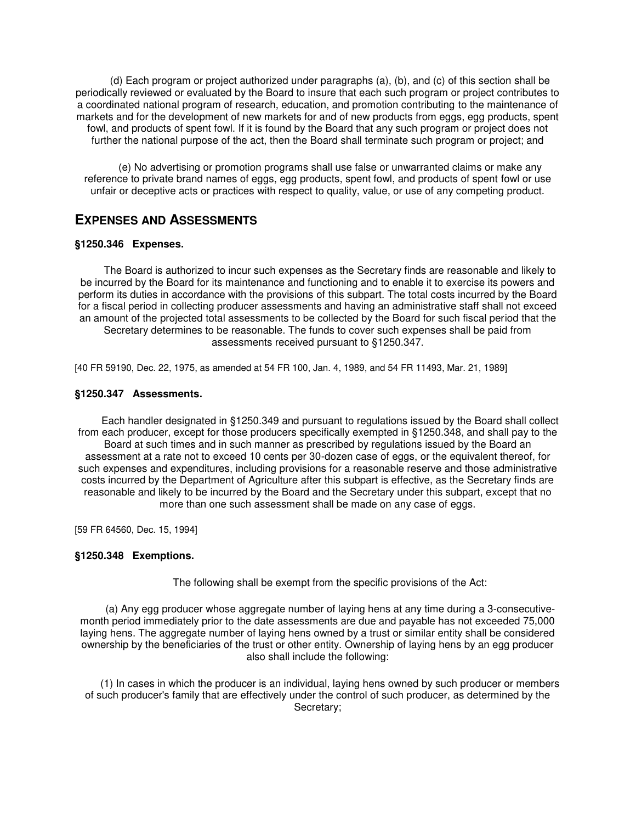(d) Each program or project authorized under paragraphs (a), (b), and (c) of this section shall be periodically reviewed or evaluated by the Board to insure that each such program or project contributes to a coordinated national program of research, education, and promotion contributing to the maintenance of markets and for the development of new markets for and of new products from eggs, egg products, spent fowl, and products of spent fowl. If it is found by the Board that any such program or project does not further the national purpose of the act, then the Board shall terminate such program or project; and

(e) No advertising or promotion programs shall use false or unwarranted claims or make any reference to private brand names of eggs, egg products, spent fowl, and products of spent fowl or use unfair or deceptive acts or practices with respect to quality, value, or use of any competing product.

# **EXPENSES AND ASSESSMENTS**

# **§1250.346 Expenses.**

The Board is authorized to incur such expenses as the Secretary finds are reasonable and likely to be incurred by the Board for its maintenance and functioning and to enable it to exercise its powers and perform its duties in accordance with the provisions of this subpart. The total costs incurred by the Board for a fiscal period in collecting producer assessments and having an administrative staff shall not exceed an amount of the projected total assessments to be collected by the Board for such fiscal period that the Secretary determines to be reasonable. The funds to cover such expenses shall be paid from assessments received pursuant to §1250.347.

[40 FR 59190, Dec. 22, 1975, as amended at 54 FR 100, Jan. 4, 1989, and 54 FR 11493, Mar. 21, 1989]

# **§1250.347 Assessments.**

Each handler designated in §1250.349 and pursuant to regulations issued by the Board shall collect from each producer, except for those producers specifically exempted in §1250.348, and shall pay to the Board at such times and in such manner as prescribed by regulations issued by the Board an assessment at a rate not to exceed 10 cents per 30-dozen case of eggs, or the equivalent thereof, for such expenses and expenditures, including provisions for a reasonable reserve and those administrative costs incurred by the Department of Agriculture after this subpart is effective, as the Secretary finds are reasonable and likely to be incurred by the Board and the Secretary under this subpart, except that no more than one such assessment shall be made on any case of eggs.

[59 FR 64560, Dec. 15, 1994]

### **§1250.348 Exemptions.**

The following shall be exempt from the specific provisions of the Act:

(a) Any egg producer whose aggregate number of laying hens at any time during a 3-consecutivemonth period immediately prior to the date assessments are due and payable has not exceeded 75,000 laying hens. The aggregate number of laying hens owned by a trust or similar entity shall be considered ownership by the beneficiaries of the trust or other entity. Ownership of laying hens by an egg producer also shall include the following:

(1) In cases in which the producer is an individual, laying hens owned by such producer or members of such producer's family that are effectively under the control of such producer, as determined by the Secretary;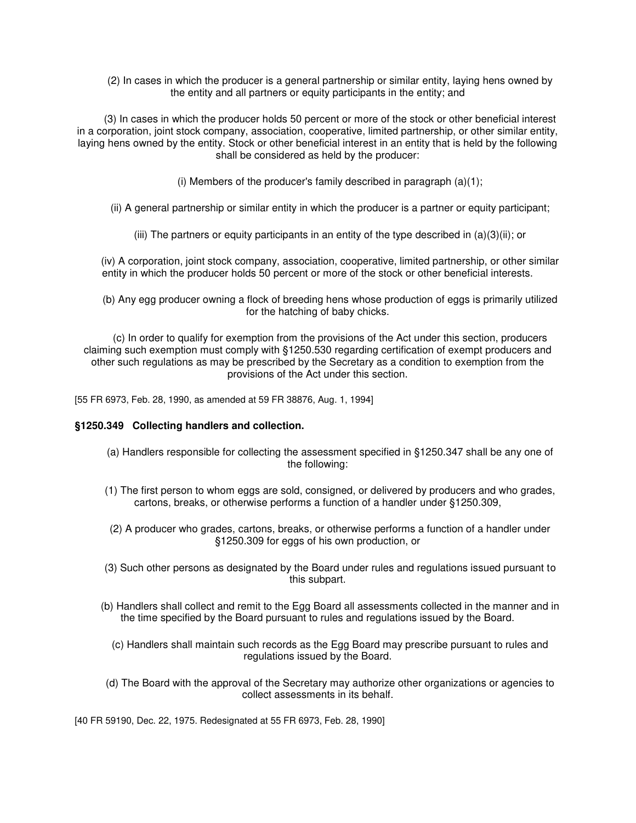(2) In cases in which the producer is a general partnership or similar entity, laying hens owned by the entity and all partners or equity participants in the entity; and

(3) In cases in which the producer holds 50 percent or more of the stock or other beneficial interest in a corporation, joint stock company, association, cooperative, limited partnership, or other similar entity, laying hens owned by the entity. Stock or other beneficial interest in an entity that is held by the following shall be considered as held by the producer:

(i) Members of the producer's family described in paragraph (a)(1);

(ii) A general partnership or similar entity in which the producer is a partner or equity participant;

(iii) The partners or equity participants in an entity of the type described in (a)(3)(ii); or

(iv) A corporation, joint stock company, association, cooperative, limited partnership, or other similar entity in which the producer holds 50 percent or more of the stock or other beneficial interests.

(b) Any egg producer owning a flock of breeding hens whose production of eggs is primarily utilized for the hatching of baby chicks.

(c) In order to qualify for exemption from the provisions of the Act under this section, producers claiming such exemption must comply with §1250.530 regarding certification of exempt producers and other such regulations as may be prescribed by the Secretary as a condition to exemption from the provisions of the Act under this section.

[55 FR 6973, Feb. 28, 1990, as amended at 59 FR 38876, Aug. 1, 1994]

### **§1250.349 Collecting handlers and collection.**

- (a) Handlers responsible for collecting the assessment specified in §1250.347 shall be any one of the following:
- (1) The first person to whom eggs are sold, consigned, or delivered by producers and who grades, cartons, breaks, or otherwise performs a function of a handler under §1250.309,
- (2) A producer who grades, cartons, breaks, or otherwise performs a function of a handler under §1250.309 for eggs of his own production, or
- (3) Such other persons as designated by the Board under rules and regulations issued pursuant to this subpart.
- (b) Handlers shall collect and remit to the Egg Board all assessments collected in the manner and in the time specified by the Board pursuant to rules and regulations issued by the Board.
	- (c) Handlers shall maintain such records as the Egg Board may prescribe pursuant to rules and regulations issued by the Board.
- (d) The Board with the approval of the Secretary may authorize other organizations or agencies to collect assessments in its behalf.

[40 FR 59190, Dec. 22, 1975. Redesignated at 55 FR 6973, Feb. 28, 1990]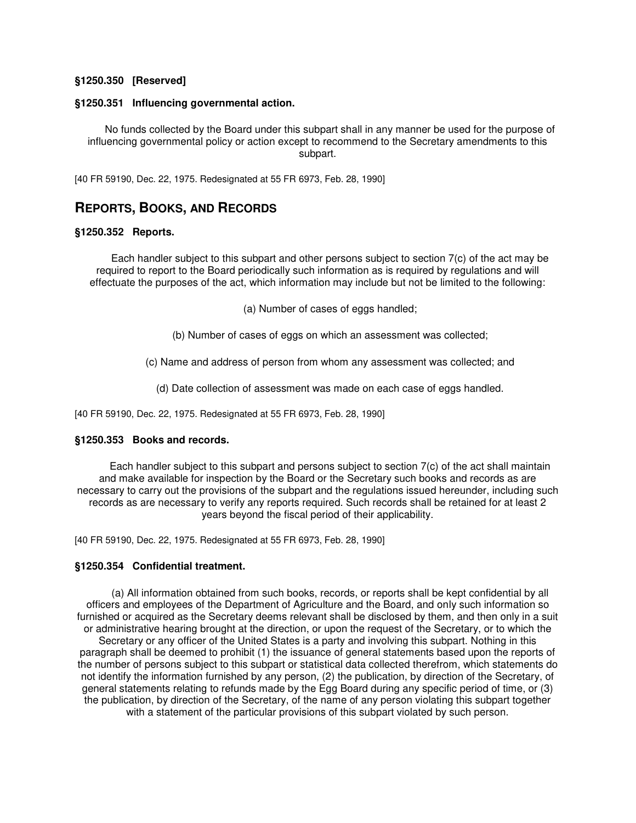#### **§1250.350 [Reserved]**

#### **§1250.351 Influencing governmental action.**

No funds collected by the Board under this subpart shall in any manner be used for the purpose of influencing governmental policy or action except to recommend to the Secretary amendments to this subpart.

[40 FR 59190, Dec. 22, 1975. Redesignated at 55 FR 6973, Feb. 28, 1990]

# **REPORTS, BOOKS, AND RECORDS**

#### **§1250.352 Reports.**

Each handler subject to this subpart and other persons subject to section 7(c) of the act may be required to report to the Board periodically such information as is required by regulations and will effectuate the purposes of the act, which information may include but not be limited to the following:

(a) Number of cases of eggs handled;

(b) Number of cases of eggs on which an assessment was collected;

(c) Name and address of person from whom any assessment was collected; and

(d) Date collection of assessment was made on each case of eggs handled.

[40 FR 59190, Dec. 22, 1975. Redesignated at 55 FR 6973, Feb. 28, 1990]

### **§1250.353 Books and records.**

Each handler subject to this subpart and persons subject to section 7(c) of the act shall maintain and make available for inspection by the Board or the Secretary such books and records as are necessary to carry out the provisions of the subpart and the regulations issued hereunder, including such records as are necessary to verify any reports required. Such records shall be retained for at least 2 years beyond the fiscal period of their applicability.

[40 FR 59190, Dec. 22, 1975. Redesignated at 55 FR 6973, Feb. 28, 1990]

#### **§1250.354 Confidential treatment.**

(a) All information obtained from such books, records, or reports shall be kept confidential by all officers and employees of the Department of Agriculture and the Board, and only such information so furnished or acquired as the Secretary deems relevant shall be disclosed by them, and then only in a suit or administrative hearing brought at the direction, or upon the request of the Secretary, or to which the Secretary or any officer of the United States is a party and involving this subpart. Nothing in this paragraph shall be deemed to prohibit (1) the issuance of general statements based upon the reports of the number of persons subject to this subpart or statistical data collected therefrom, which statements do not identify the information furnished by any person, (2) the publication, by direction of the Secretary, of general statements relating to refunds made by the Egg Board during any specific period of time, or (3) the publication, by direction of the Secretary, of the name of any person violating this subpart together with a statement of the particular provisions of this subpart violated by such person.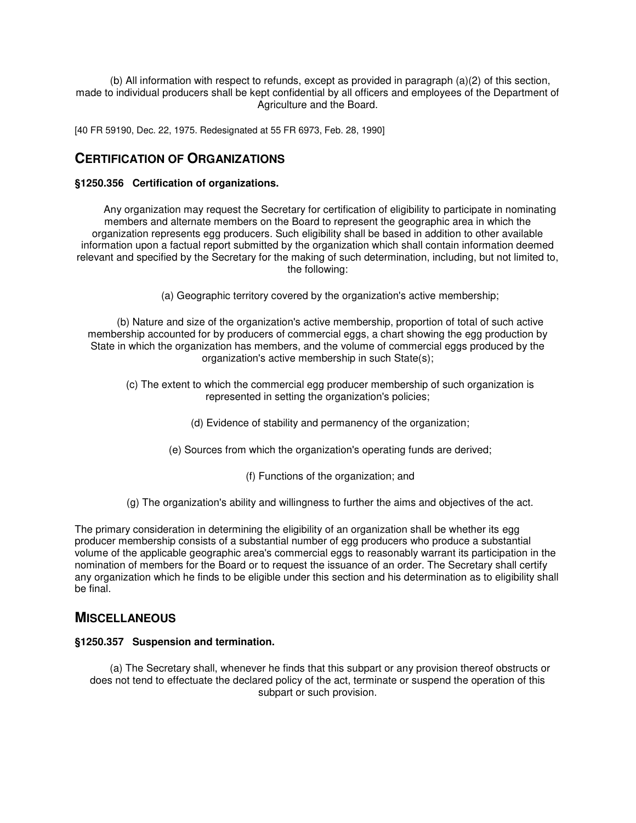(b) All information with respect to refunds, except as provided in paragraph (a)(2) of this section, made to individual producers shall be kept confidential by all officers and employees of the Department of Agriculture and the Board.

[40 FR 59190, Dec. 22, 1975. Redesignated at 55 FR 6973, Feb. 28, 1990]

# **CERTIFICATION OF ORGANIZATIONS**

# **§1250.356 Certification of organizations.**

Any organization may request the Secretary for certification of eligibility to participate in nominating members and alternate members on the Board to represent the geographic area in which the organization represents egg producers. Such eligibility shall be based in addition to other available information upon a factual report submitted by the organization which shall contain information deemed relevant and specified by the Secretary for the making of such determination, including, but not limited to, the following:

(a) Geographic territory covered by the organization's active membership;

(b) Nature and size of the organization's active membership, proportion of total of such active membership accounted for by producers of commercial eggs, a chart showing the egg production by State in which the organization has members, and the volume of commercial eggs produced by the organization's active membership in such State(s);

- (c) The extent to which the commercial egg producer membership of such organization is represented in setting the organization's policies;
	- (d) Evidence of stability and permanency of the organization;
	- (e) Sources from which the organization's operating funds are derived;
		- (f) Functions of the organization; and
- (g) The organization's ability and willingness to further the aims and objectives of the act.

The primary consideration in determining the eligibility of an organization shall be whether its egg producer membership consists of a substantial number of egg producers who produce a substantial volume of the applicable geographic area's commercial eggs to reasonably warrant its participation in the nomination of members for the Board or to request the issuance of an order. The Secretary shall certify any organization which he finds to be eligible under this section and his determination as to eligibility shall be final.

# **MISCELLANEOUS**

### **§1250.357 Suspension and termination.**

(a) The Secretary shall, whenever he finds that this subpart or any provision thereof obstructs or does not tend to effectuate the declared policy of the act, terminate or suspend the operation of this subpart or such provision.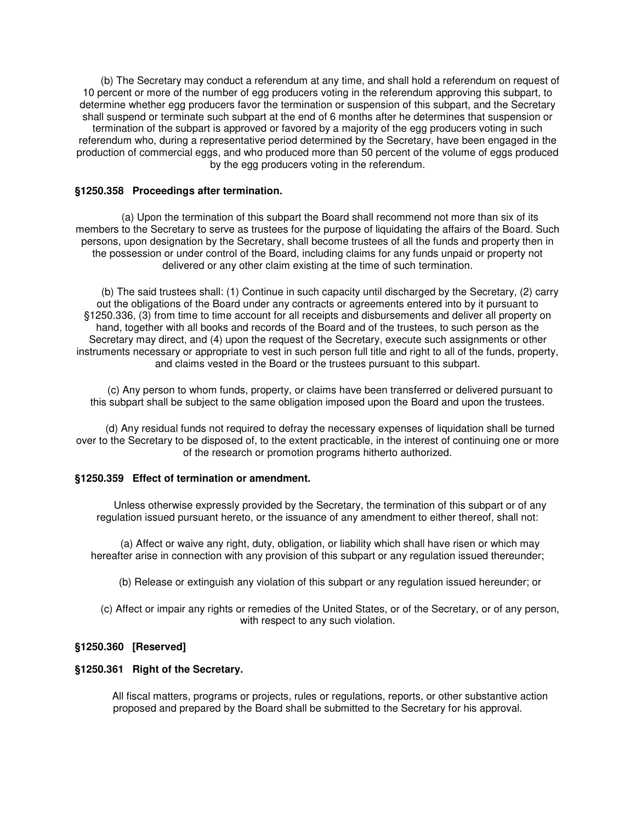(b) The Secretary may conduct a referendum at any time, and shall hold a referendum on request of 10 percent or more of the number of egg producers voting in the referendum approving this subpart, to determine whether egg producers favor the termination or suspension of this subpart, and the Secretary shall suspend or terminate such subpart at the end of 6 months after he determines that suspension or termination of the subpart is approved or favored by a majority of the egg producers voting in such referendum who, during a representative period determined by the Secretary, have been engaged in the production of commercial eggs, and who produced more than 50 percent of the volume of eggs produced by the egg producers voting in the referendum.

### **§1250.358 Proceedings after termination.**

(a) Upon the termination of this subpart the Board shall recommend not more than six of its members to the Secretary to serve as trustees for the purpose of liquidating the affairs of the Board. Such persons, upon designation by the Secretary, shall become trustees of all the funds and property then in the possession or under control of the Board, including claims for any funds unpaid or property not delivered or any other claim existing at the time of such termination.

(b) The said trustees shall: (1) Continue in such capacity until discharged by the Secretary, (2) carry out the obligations of the Board under any contracts or agreements entered into by it pursuant to §1250.336, (3) from time to time account for all receipts and disbursements and deliver all property on hand, together with all books and records of the Board and of the trustees, to such person as the Secretary may direct, and (4) upon the request of the Secretary, execute such assignments or other instruments necessary or appropriate to vest in such person full title and right to all of the funds, property, and claims vested in the Board or the trustees pursuant to this subpart.

(c) Any person to whom funds, property, or claims have been transferred or delivered pursuant to this subpart shall be subject to the same obligation imposed upon the Board and upon the trustees.

(d) Any residual funds not required to defray the necessary expenses of liquidation shall be turned over to the Secretary to be disposed of, to the extent practicable, in the interest of continuing one or more of the research or promotion programs hitherto authorized.

### **§1250.359 Effect of termination or amendment.**

Unless otherwise expressly provided by the Secretary, the termination of this subpart or of any regulation issued pursuant hereto, or the issuance of any amendment to either thereof, shall not:

(a) Affect or waive any right, duty, obligation, or liability which shall have risen or which may hereafter arise in connection with any provision of this subpart or any regulation issued thereunder;

(b) Release or extinguish any violation of this subpart or any regulation issued hereunder; or

(c) Affect or impair any rights or remedies of the United States, or of the Secretary, or of any person, with respect to any such violation.

# **§1250.360 [Reserved]**

### **§1250.361 Right of the Secretary.**

All fiscal matters, programs or projects, rules or regulations, reports, or other substantive action proposed and prepared by the Board shall be submitted to the Secretary for his approval.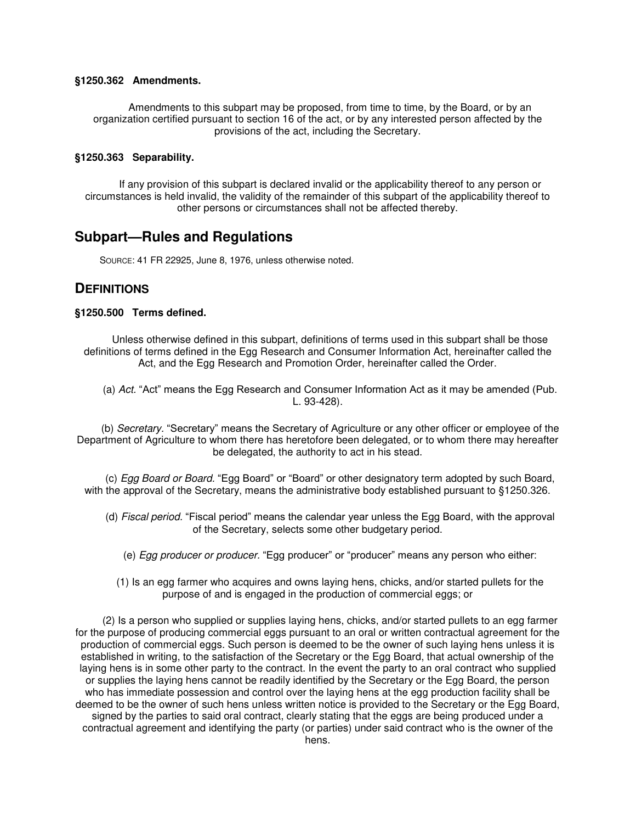#### **§1250.362 Amendments.**

Amendments to this subpart may be proposed, from time to time, by the Board, or by an organization certified pursuant to section 16 of the act, or by any interested person affected by the provisions of the act, including the Secretary.

#### **§1250.363 Separability.**

If any provision of this subpart is declared invalid or the applicability thereof to any person or circumstances is held invalid, the validity of the remainder of this subpart of the applicability thereof to other persons or circumstances shall not be affected thereby.

# **Subpart—Rules and Regulations**

SOURCE: 41 FR 22925, June 8, 1976, unless otherwise noted.

# **DEFINITIONS**

#### **§1250.500 Terms defined.**

Unless otherwise defined in this subpart, definitions of terms used in this subpart shall be those definitions of terms defined in the Egg Research and Consumer Information Act, hereinafter called the Act, and the Egg Research and Promotion Order, hereinafter called the Order.

(a) Act. "Act" means the Egg Research and Consumer Information Act as it may be amended (Pub. L. 93-428).

(b) Secretary. "Secretary" means the Secretary of Agriculture or any other officer or employee of the Department of Agriculture to whom there has heretofore been delegated, or to whom there may hereafter be delegated, the authority to act in his stead.

(c) Egg Board or Board. "Egg Board" or "Board" or other designatory term adopted by such Board, with the approval of the Secretary, means the administrative body established pursuant to §1250.326.

- (d) Fiscal period. "Fiscal period" means the calendar year unless the Egg Board, with the approval of the Secretary, selects some other budgetary period.
	- (e) Egg producer or producer. "Egg producer" or "producer" means any person who either:
	- (1) Is an egg farmer who acquires and owns laying hens, chicks, and/or started pullets for the purpose of and is engaged in the production of commercial eggs; or

(2) Is a person who supplied or supplies laying hens, chicks, and/or started pullets to an egg farmer for the purpose of producing commercial eggs pursuant to an oral or written contractual agreement for the production of commercial eggs. Such person is deemed to be the owner of such laying hens unless it is established in writing, to the satisfaction of the Secretary or the Egg Board, that actual ownership of the laying hens is in some other party to the contract. In the event the party to an oral contract who supplied or supplies the laying hens cannot be readily identified by the Secretary or the Egg Board, the person who has immediate possession and control over the laying hens at the egg production facility shall be deemed to be the owner of such hens unless written notice is provided to the Secretary or the Egg Board, signed by the parties to said oral contract, clearly stating that the eggs are being produced under a contractual agreement and identifying the party (or parties) under said contract who is the owner of the hens.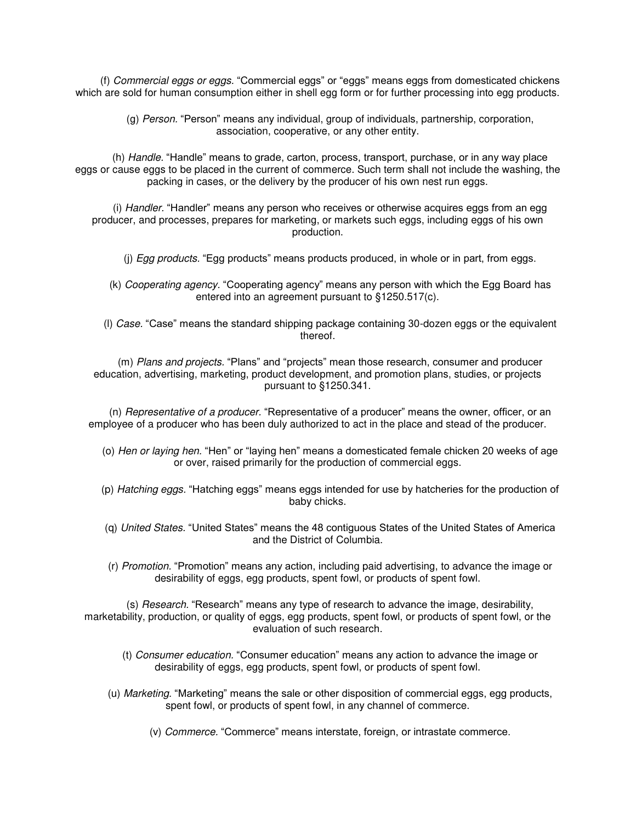(f) Commercial eggs or eggs. "Commercial eggs" or "eggs" means eggs from domesticated chickens which are sold for human consumption either in shell egg form or for further processing into egg products.

> (g) Person. "Person" means any individual, group of individuals, partnership, corporation, association, cooperative, or any other entity.

(h) Handle. "Handle" means to grade, carton, process, transport, purchase, or in any way place eggs or cause eggs to be placed in the current of commerce. Such term shall not include the washing, the packing in cases, or the delivery by the producer of his own nest run eggs.

(i) Handler. "Handler" means any person who receives or otherwise acquires eggs from an egg producer, and processes, prepares for marketing, or markets such eggs, including eggs of his own production.

(i) *Egg products*. "Egg products" means products produced, in whole or in part, from eggs.

(k) Cooperating agency. "Cooperating agency" means any person with which the Egg Board has entered into an agreement pursuant to §1250.517(c).

(l) Case. "Case" means the standard shipping package containing 30-dozen eggs or the equivalent thereof.

(m) Plans and projects. "Plans" and "projects" mean those research, consumer and producer education, advertising, marketing, product development, and promotion plans, studies, or projects pursuant to §1250.341.

(n) Representative of a producer. "Representative of a producer" means the owner, officer, or an employee of a producer who has been duly authorized to act in the place and stead of the producer.

- (o) Hen or laying hen. "Hen" or "laying hen" means a domesticated female chicken 20 weeks of age or over, raised primarily for the production of commercial eggs.
- (p) Hatching eggs. "Hatching eggs" means eggs intended for use by hatcheries for the production of baby chicks.
- (q) United States. "United States" means the 48 contiguous States of the United States of America and the District of Columbia.
- (r) Promotion. "Promotion" means any action, including paid advertising, to advance the image or desirability of eggs, egg products, spent fowl, or products of spent fowl.

(s) Research. "Research" means any type of research to advance the image, desirability, marketability, production, or quality of eggs, egg products, spent fowl, or products of spent fowl, or the evaluation of such research.

- (t) Consumer education. "Consumer education" means any action to advance the image or desirability of eggs, egg products, spent fowl, or products of spent fowl.
- (u) Marketing. "Marketing" means the sale or other disposition of commercial eggs, egg products, spent fowl, or products of spent fowl, in any channel of commerce.
	- (v) Commerce. "Commerce" means interstate, foreign, or intrastate commerce.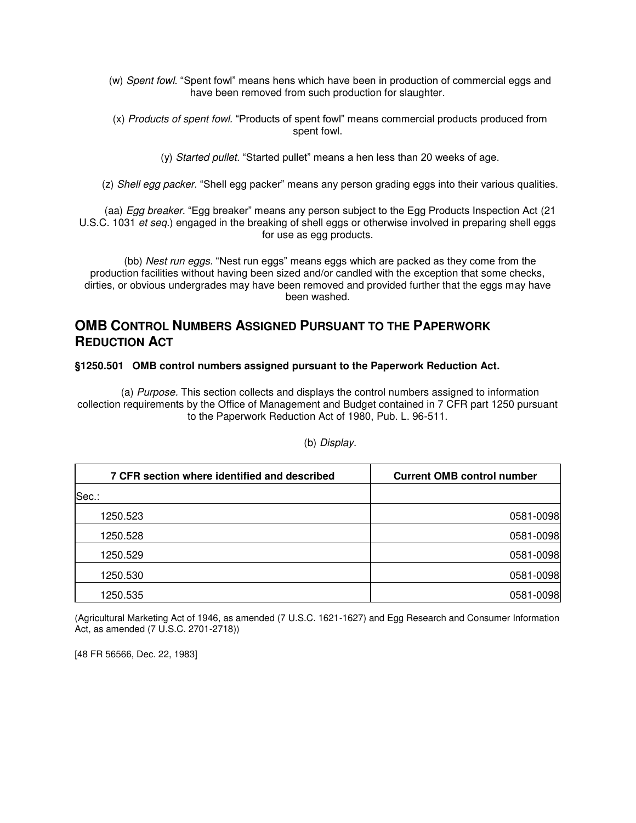- (w) Spent fowl. "Spent fowl" means hens which have been in production of commercial eggs and have been removed from such production for slaughter.
- (x) Products of spent fowl. "Products of spent fowl" means commercial products produced from spent fowl.
	- (y) Started pullet. "Started pullet" means a hen less than 20 weeks of age.

(z) Shell egg packer. "Shell egg packer" means any person grading eggs into their various qualities.

(aa) Egg breaker. "Egg breaker" means any person subject to the Egg Products Inspection Act (21 U.S.C. 1031 et seq.) engaged in the breaking of shell eggs or otherwise involved in preparing shell eggs for use as egg products.

(bb) Nest run eggs. "Nest run eggs" means eggs which are packed as they come from the production facilities without having been sized and/or candled with the exception that some checks, dirties, or obvious undergrades may have been removed and provided further that the eggs may have been washed.

# **OMB CONTROL NUMBERS ASSIGNED PURSUANT TO THE PAPERWORK REDUCTION ACT**

# **§1250.501 OMB control numbers assigned pursuant to the Paperwork Reduction Act.**

(a) Purpose. This section collects and displays the control numbers assigned to information collection requirements by the Office of Management and Budget contained in 7 CFR part 1250 pursuant to the Paperwork Reduction Act of 1980, Pub. L. 96-511.

| 7 CFR section where identified and described | <b>Current OMB control number</b> |
|----------------------------------------------|-----------------------------------|
| Sec.:                                        |                                   |
| 1250.523                                     | 0581-0098                         |
| 1250.528                                     | 0581-0098                         |
| 1250.529                                     | 0581-0098                         |
| 1250.530                                     | 0581-0098                         |
| 1250.535                                     | 0581-0098                         |

# (b) Display.

(Agricultural Marketing Act of 1946, as amended (7 U.S.C. 1621-1627) and Egg Research and Consumer Information Act, as amended (7 U.S.C. 2701-2718))

[48 FR 56566, Dec. 22, 1983]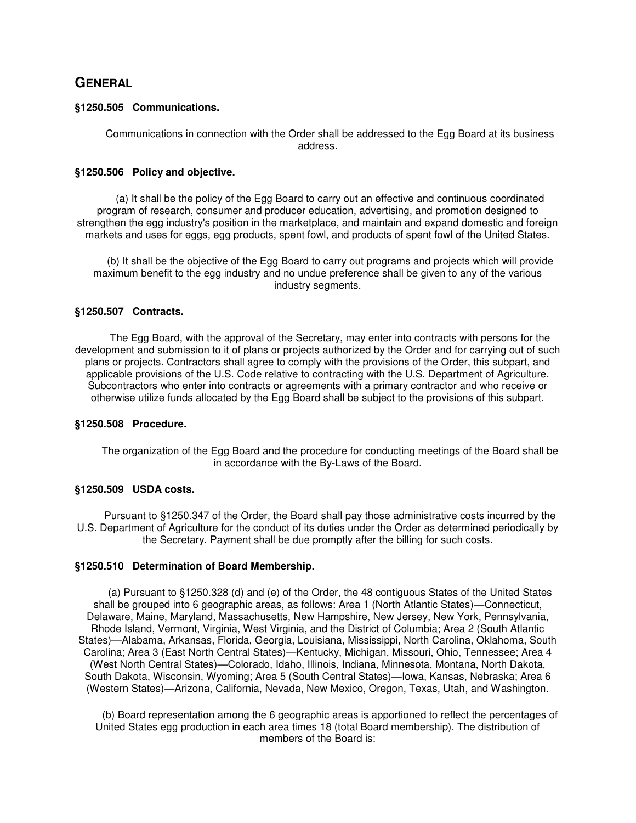# **GENERAL**

### **§1250.505 Communications.**

Communications in connection with the Order shall be addressed to the Egg Board at its business address.

# **§1250.506 Policy and objective.**

(a) It shall be the policy of the Egg Board to carry out an effective and continuous coordinated program of research, consumer and producer education, advertising, and promotion designed to strengthen the egg industry's position in the marketplace, and maintain and expand domestic and foreign markets and uses for eggs, egg products, spent fowl, and products of spent fowl of the United States.

(b) It shall be the objective of the Egg Board to carry out programs and projects which will provide maximum benefit to the egg industry and no undue preference shall be given to any of the various industry segments.

# **§1250.507 Contracts.**

The Egg Board, with the approval of the Secretary, may enter into contracts with persons for the development and submission to it of plans or projects authorized by the Order and for carrying out of such plans or projects. Contractors shall agree to comply with the provisions of the Order, this subpart, and applicable provisions of the U.S. Code relative to contracting with the U.S. Department of Agriculture. Subcontractors who enter into contracts or agreements with a primary contractor and who receive or otherwise utilize funds allocated by the Egg Board shall be subject to the provisions of this subpart.

### **§1250.508 Procedure.**

The organization of the Egg Board and the procedure for conducting meetings of the Board shall be in accordance with the By-Laws of the Board.

# **§1250.509 USDA costs.**

Pursuant to §1250.347 of the Order, the Board shall pay those administrative costs incurred by the U.S. Department of Agriculture for the conduct of its duties under the Order as determined periodically by the Secretary. Payment shall be due promptly after the billing for such costs.

### **§1250.510 Determination of Board Membership.**

(a) Pursuant to §1250.328 (d) and (e) of the Order, the 48 contiguous States of the United States shall be grouped into 6 geographic areas, as follows: Area 1 (North Atlantic States)—Connecticut, Delaware, Maine, Maryland, Massachusetts, New Hampshire, New Jersey, New York, Pennsylvania, Rhode Island, Vermont, Virginia, West Virginia, and the District of Columbia; Area 2 (South Atlantic States)—Alabama, Arkansas, Florida, Georgia, Louisiana, Mississippi, North Carolina, Oklahoma, South Carolina; Area 3 (East North Central States)—Kentucky, Michigan, Missouri, Ohio, Tennessee; Area 4 (West North Central States)—Colorado, Idaho, Illinois, Indiana, Minnesota, Montana, North Dakota, South Dakota, Wisconsin, Wyoming; Area 5 (South Central States)—Iowa, Kansas, Nebraska; Area 6 (Western States)—Arizona, California, Nevada, New Mexico, Oregon, Texas, Utah, and Washington.

(b) Board representation among the 6 geographic areas is apportioned to reflect the percentages of United States egg production in each area times 18 (total Board membership). The distribution of members of the Board is: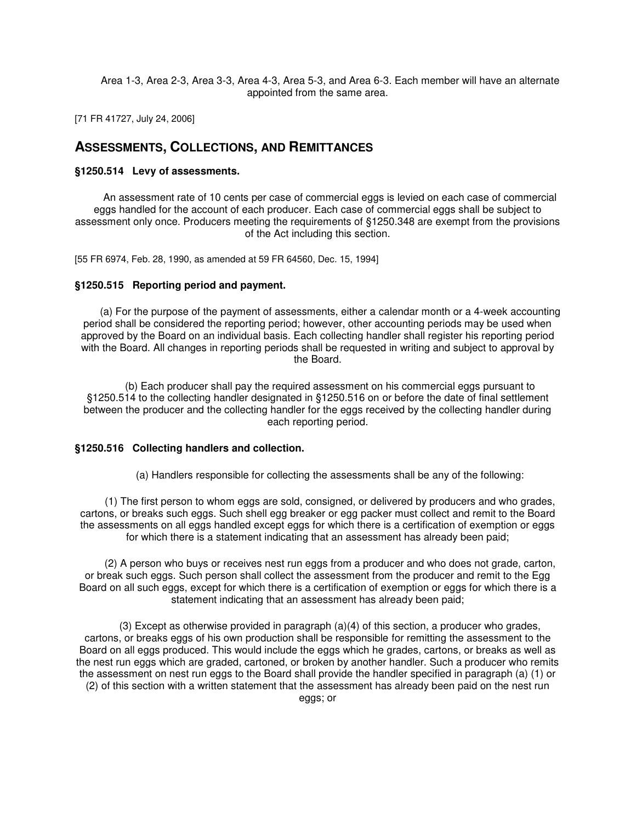Area 1-3, Area 2-3, Area 3-3, Area 4-3, Area 5-3, and Area 6-3. Each member will have an alternate appointed from the same area.

[71 FR 41727, July 24, 2006]

# **ASSESSMENTS, COLLECTIONS, AND REMITTANCES**

### **§1250.514 Levy of assessments.**

An assessment rate of 10 cents per case of commercial eggs is levied on each case of commercial eggs handled for the account of each producer. Each case of commercial eggs shall be subject to assessment only once. Producers meeting the requirements of §1250.348 are exempt from the provisions of the Act including this section.

[55 FR 6974, Feb. 28, 1990, as amended at 59 FR 64560, Dec. 15, 1994]

### **§1250.515 Reporting period and payment.**

(a) For the purpose of the payment of assessments, either a calendar month or a 4-week accounting period shall be considered the reporting period; however, other accounting periods may be used when approved by the Board on an individual basis. Each collecting handler shall register his reporting period with the Board. All changes in reporting periods shall be requested in writing and subject to approval by the Board.

(b) Each producer shall pay the required assessment on his commercial eggs pursuant to §1250.514 to the collecting handler designated in §1250.516 on or before the date of final settlement between the producer and the collecting handler for the eggs received by the collecting handler during each reporting period.

### **§1250.516 Collecting handlers and collection.**

(a) Handlers responsible for collecting the assessments shall be any of the following:

(1) The first person to whom eggs are sold, consigned, or delivered by producers and who grades, cartons, or breaks such eggs. Such shell egg breaker or egg packer must collect and remit to the Board the assessments on all eggs handled except eggs for which there is a certification of exemption or eggs for which there is a statement indicating that an assessment has already been paid;

(2) A person who buys or receives nest run eggs from a producer and who does not grade, carton, or break such eggs. Such person shall collect the assessment from the producer and remit to the Egg Board on all such eggs, except for which there is a certification of exemption or eggs for which there is a statement indicating that an assessment has already been paid;

 $(3)$  Except as otherwise provided in paragraph  $(a)(4)$  of this section, a producer who grades, cartons, or breaks eggs of his own production shall be responsible for remitting the assessment to the Board on all eggs produced. This would include the eggs which he grades, cartons, or breaks as well as the nest run eggs which are graded, cartoned, or broken by another handler. Such a producer who remits the assessment on nest run eggs to the Board shall provide the handler specified in paragraph (a) (1) or (2) of this section with a written statement that the assessment has already been paid on the nest run eggs; or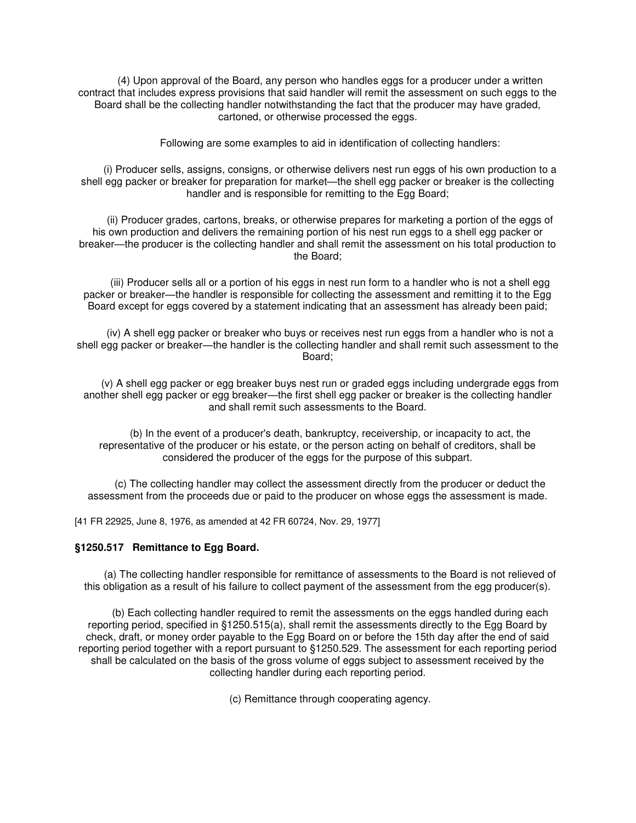(4) Upon approval of the Board, any person who handles eggs for a producer under a written contract that includes express provisions that said handler will remit the assessment on such eggs to the Board shall be the collecting handler notwithstanding the fact that the producer may have graded, cartoned, or otherwise processed the eggs.

Following are some examples to aid in identification of collecting handlers:

(i) Producer sells, assigns, consigns, or otherwise delivers nest run eggs of his own production to a shell egg packer or breaker for preparation for market—the shell egg packer or breaker is the collecting handler and is responsible for remitting to the Egg Board;

(ii) Producer grades, cartons, breaks, or otherwise prepares for marketing a portion of the eggs of his own production and delivers the remaining portion of his nest run eggs to a shell egg packer or breaker—the producer is the collecting handler and shall remit the assessment on his total production to the Board;

(iii) Producer sells all or a portion of his eggs in nest run form to a handler who is not a shell egg packer or breaker—the handler is responsible for collecting the assessment and remitting it to the Egg Board except for eggs covered by a statement indicating that an assessment has already been paid;

(iv) A shell egg packer or breaker who buys or receives nest run eggs from a handler who is not a shell egg packer or breaker—the handler is the collecting handler and shall remit such assessment to the Board;

(v) A shell egg packer or egg breaker buys nest run or graded eggs including undergrade eggs from another shell egg packer or egg breaker—the first shell egg packer or breaker is the collecting handler and shall remit such assessments to the Board.

(b) In the event of a producer's death, bankruptcy, receivership, or incapacity to act, the representative of the producer or his estate, or the person acting on behalf of creditors, shall be considered the producer of the eggs for the purpose of this subpart.

(c) The collecting handler may collect the assessment directly from the producer or deduct the assessment from the proceeds due or paid to the producer on whose eggs the assessment is made.

[41 FR 22925, June 8, 1976, as amended at 42 FR 60724, Nov. 29, 1977]

### **§1250.517 Remittance to Egg Board.**

(a) The collecting handler responsible for remittance of assessments to the Board is not relieved of this obligation as a result of his failure to collect payment of the assessment from the egg producer(s).

(b) Each collecting handler required to remit the assessments on the eggs handled during each reporting period, specified in §1250.515(a), shall remit the assessments directly to the Egg Board by check, draft, or money order payable to the Egg Board on or before the 15th day after the end of said reporting period together with a report pursuant to §1250.529. The assessment for each reporting period shall be calculated on the basis of the gross volume of eggs subject to assessment received by the collecting handler during each reporting period.

(c) Remittance through cooperating agency.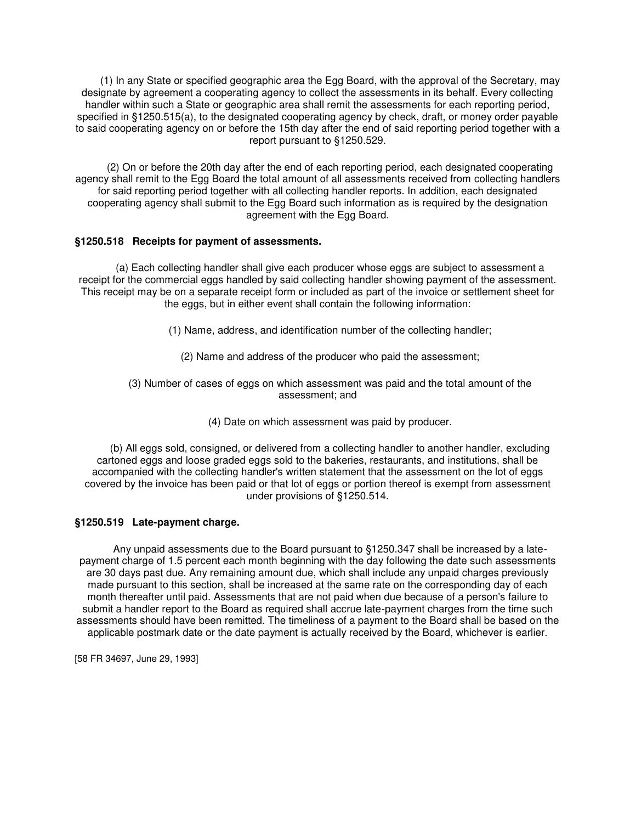(1) In any State or specified geographic area the Egg Board, with the approval of the Secretary, may designate by agreement a cooperating agency to collect the assessments in its behalf. Every collecting handler within such a State or geographic area shall remit the assessments for each reporting period, specified in §1250.515(a), to the designated cooperating agency by check, draft, or money order payable to said cooperating agency on or before the 15th day after the end of said reporting period together with a report pursuant to §1250.529.

(2) On or before the 20th day after the end of each reporting period, each designated cooperating agency shall remit to the Egg Board the total amount of all assessments received from collecting handlers for said reporting period together with all collecting handler reports. In addition, each designated cooperating agency shall submit to the Egg Board such information as is required by the designation agreement with the Egg Board.

# **§1250.518 Receipts for payment of assessments.**

(a) Each collecting handler shall give each producer whose eggs are subject to assessment a receipt for the commercial eggs handled by said collecting handler showing payment of the assessment. This receipt may be on a separate receipt form or included as part of the invoice or settlement sheet for the eggs, but in either event shall contain the following information:

- (1) Name, address, and identification number of the collecting handler;
	- (2) Name and address of the producer who paid the assessment;

(3) Number of cases of eggs on which assessment was paid and the total amount of the assessment; and

(4) Date on which assessment was paid by producer.

(b) All eggs sold, consigned, or delivered from a collecting handler to another handler, excluding cartoned eggs and loose graded eggs sold to the bakeries, restaurants, and institutions, shall be accompanied with the collecting handler's written statement that the assessment on the lot of eggs covered by the invoice has been paid or that lot of eggs or portion thereof is exempt from assessment under provisions of §1250.514.

# **§1250.519 Late-payment charge.**

Any unpaid assessments due to the Board pursuant to §1250.347 shall be increased by a latepayment charge of 1.5 percent each month beginning with the day following the date such assessments are 30 days past due. Any remaining amount due, which shall include any unpaid charges previously made pursuant to this section, shall be increased at the same rate on the corresponding day of each month thereafter until paid. Assessments that are not paid when due because of a person's failure to submit a handler report to the Board as required shall accrue late-payment charges from the time such assessments should have been remitted. The timeliness of a payment to the Board shall be based on the applicable postmark date or the date payment is actually received by the Board, whichever is earlier.

[58 FR 34697, June 29, 1993]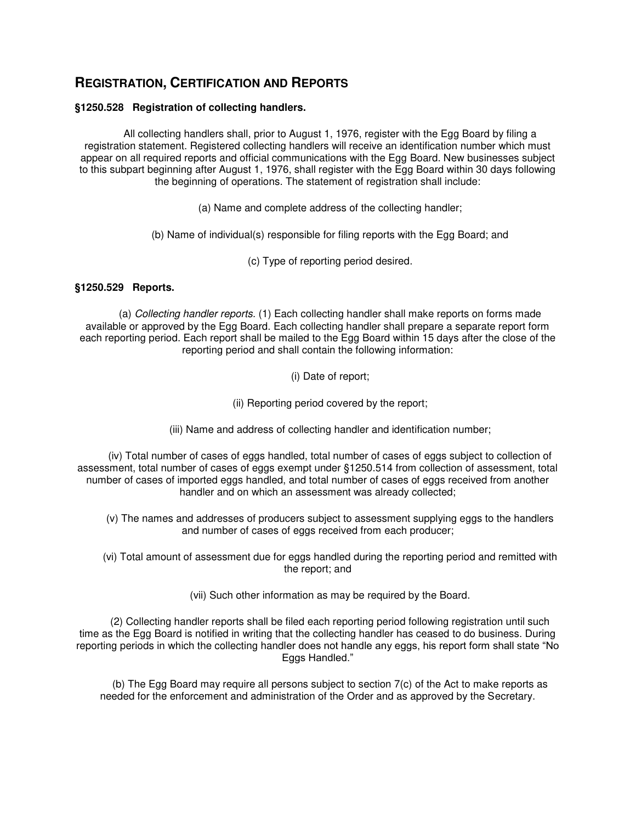# **REGISTRATION, CERTIFICATION AND REPORTS**

# **§1250.528 Registration of collecting handlers.**

All collecting handlers shall, prior to August 1, 1976, register with the Egg Board by filing a registration statement. Registered collecting handlers will receive an identification number which must appear on all required reports and official communications with the Egg Board. New businesses subject to this subpart beginning after August 1, 1976, shall register with the Egg Board within 30 days following the beginning of operations. The statement of registration shall include:

(a) Name and complete address of the collecting handler;

(b) Name of individual(s) responsible for filing reports with the Egg Board; and

(c) Type of reporting period desired.

# **§1250.529 Reports.**

(a) Collecting handler reports. (1) Each collecting handler shall make reports on forms made available or approved by the Egg Board. Each collecting handler shall prepare a separate report form each reporting period. Each report shall be mailed to the Egg Board within 15 days after the close of the reporting period and shall contain the following information:

(i) Date of report;

(ii) Reporting period covered by the report;

(iii) Name and address of collecting handler and identification number;

(iv) Total number of cases of eggs handled, total number of cases of eggs subject to collection of assessment, total number of cases of eggs exempt under §1250.514 from collection of assessment, total number of cases of imported eggs handled, and total number of cases of eggs received from another handler and on which an assessment was already collected;

(v) The names and addresses of producers subject to assessment supplying eggs to the handlers and number of cases of eggs received from each producer;

(vi) Total amount of assessment due for eggs handled during the reporting period and remitted with the report; and

(vii) Such other information as may be required by the Board.

(2) Collecting handler reports shall be filed each reporting period following registration until such time as the Egg Board is notified in writing that the collecting handler has ceased to do business. During reporting periods in which the collecting handler does not handle any eggs, his report form shall state "No Eggs Handled."

(b) The Egg Board may require all persons subject to section 7(c) of the Act to make reports as needed for the enforcement and administration of the Order and as approved by the Secretary.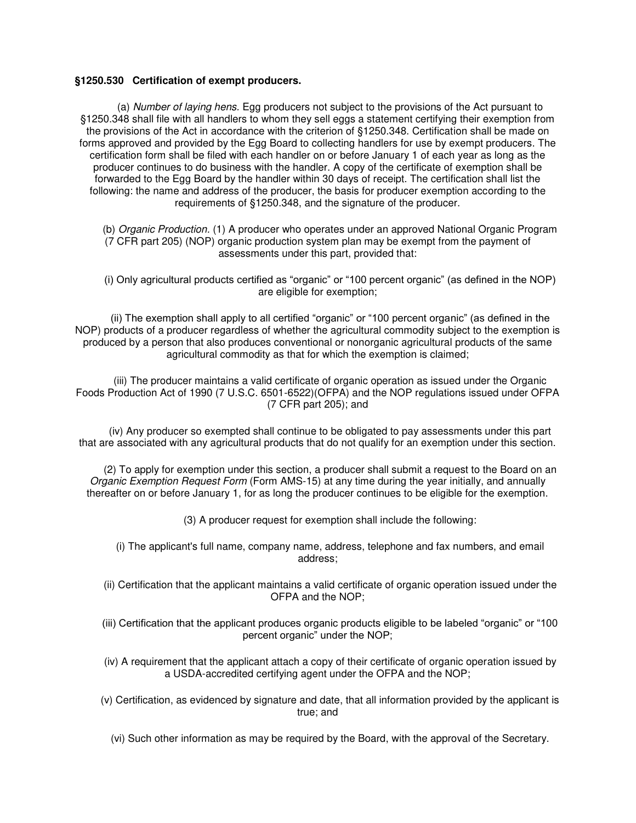### **§1250.530 Certification of exempt producers.**

(a) Number of laying hens. Egg producers not subject to the provisions of the Act pursuant to §1250.348 shall file with all handlers to whom they sell eggs a statement certifying their exemption from the provisions of the Act in accordance with the criterion of §1250.348. Certification shall be made on forms approved and provided by the Egg Board to collecting handlers for use by exempt producers. The certification form shall be filed with each handler on or before January 1 of each year as long as the producer continues to do business with the handler. A copy of the certificate of exemption shall be forwarded to the Egg Board by the handler within 30 days of receipt. The certification shall list the following: the name and address of the producer, the basis for producer exemption according to the requirements of §1250.348, and the signature of the producer.

(b) Organic Production. (1) A producer who operates under an approved National Organic Program (7 CFR part 205) (NOP) organic production system plan may be exempt from the payment of assessments under this part, provided that:

(i) Only agricultural products certified as "organic" or "100 percent organic" (as defined in the NOP) are eligible for exemption;

(ii) The exemption shall apply to all certified "organic" or "100 percent organic" (as defined in the NOP) products of a producer regardless of whether the agricultural commodity subject to the exemption is produced by a person that also produces conventional or nonorganic agricultural products of the same agricultural commodity as that for which the exemption is claimed;

(iii) The producer maintains a valid certificate of organic operation as issued under the Organic Foods Production Act of 1990 (7 U.S.C. 6501-6522)(OFPA) and the NOP regulations issued under OFPA (7 CFR part 205); and

(iv) Any producer so exempted shall continue to be obligated to pay assessments under this part that are associated with any agricultural products that do not qualify for an exemption under this section.

(2) To apply for exemption under this section, a producer shall submit a request to the Board on an Organic Exemption Request Form (Form AMS-15) at any time during the year initially, and annually thereafter on or before January 1, for as long the producer continues to be eligible for the exemption.

(3) A producer request for exemption shall include the following:

(i) The applicant's full name, company name, address, telephone and fax numbers, and email address;

(ii) Certification that the applicant maintains a valid certificate of organic operation issued under the OFPA and the NOP;

(iii) Certification that the applicant produces organic products eligible to be labeled "organic" or "100 percent organic" under the NOP;

(iv) A requirement that the applicant attach a copy of their certificate of organic operation issued by a USDA-accredited certifying agent under the OFPA and the NOP;

(v) Certification, as evidenced by signature and date, that all information provided by the applicant is true; and

(vi) Such other information as may be required by the Board, with the approval of the Secretary.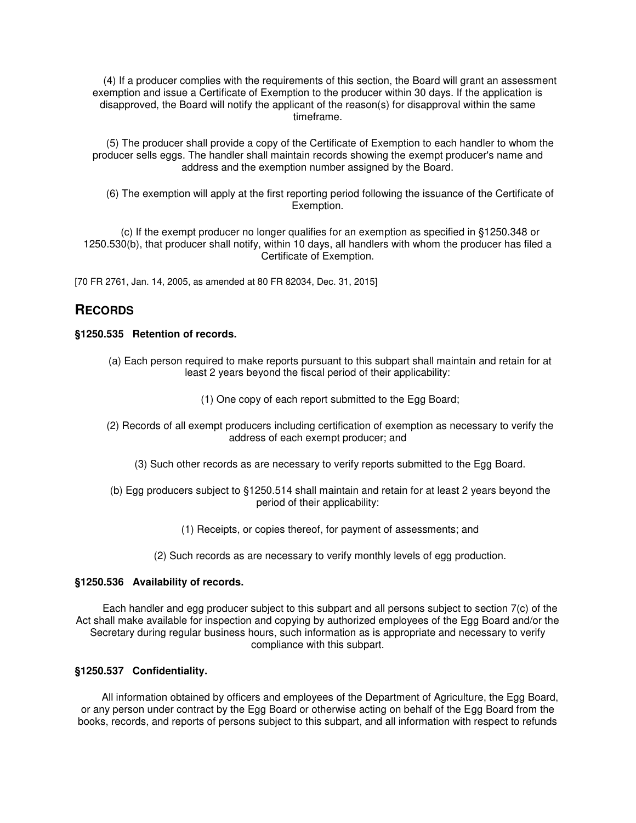(4) If a producer complies with the requirements of this section, the Board will grant an assessment exemption and issue a Certificate of Exemption to the producer within 30 days. If the application is disapproved, the Board will notify the applicant of the reason(s) for disapproval within the same timeframe.

(5) The producer shall provide a copy of the Certificate of Exemption to each handler to whom the producer sells eggs. The handler shall maintain records showing the exempt producer's name and address and the exemption number assigned by the Board.

(6) The exemption will apply at the first reporting period following the issuance of the Certificate of Exemption.

(c) If the exempt producer no longer qualifies for an exemption as specified in §1250.348 or 1250.530(b), that producer shall notify, within 10 days, all handlers with whom the producer has filed a Certificate of Exemption.

[70 FR 2761, Jan. 14, 2005, as amended at 80 FR 82034, Dec. 31, 2015]

# **RECORDS**

# **§1250.535 Retention of records.**

- (a) Each person required to make reports pursuant to this subpart shall maintain and retain for at least 2 years beyond the fiscal period of their applicability:
	- (1) One copy of each report submitted to the Egg Board;
- (2) Records of all exempt producers including certification of exemption as necessary to verify the address of each exempt producer; and
	- (3) Such other records as are necessary to verify reports submitted to the Egg Board.
- (b) Egg producers subject to §1250.514 shall maintain and retain for at least 2 years beyond the period of their applicability:
	- (1) Receipts, or copies thereof, for payment of assessments; and
	- (2) Such records as are necessary to verify monthly levels of egg production.

### **§1250.536 Availability of records.**

Each handler and egg producer subject to this subpart and all persons subject to section 7(c) of the Act shall make available for inspection and copying by authorized employees of the Egg Board and/or the Secretary during regular business hours, such information as is appropriate and necessary to verify compliance with this subpart.

## **§1250.537 Confidentiality.**

All information obtained by officers and employees of the Department of Agriculture, the Egg Board, or any person under contract by the Egg Board or otherwise acting on behalf of the Egg Board from the books, records, and reports of persons subject to this subpart, and all information with respect to refunds